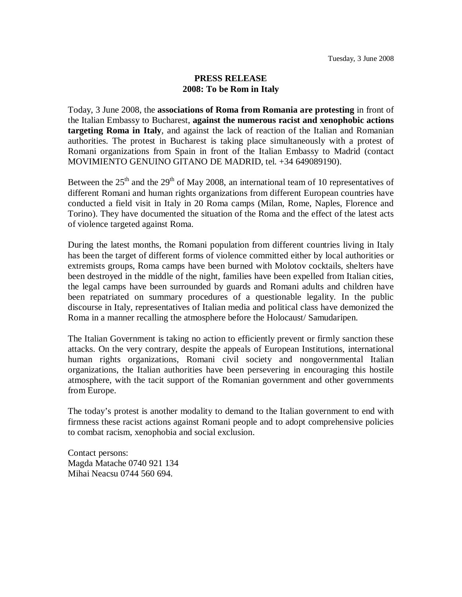## **PRESS RELEASE 2008: To be Rom in Italy**

Today, 3 June 2008, the **associations of Roma from Romania are protesting** in front of the Italian Embassy to Bucharest, **against the numerous racist and xenophobic actions targeting Roma in Italy**, and against the lack of reaction of the Italian and Romanian authorities. The protest in Bucharest is taking place simultaneously with a protest of Romani organizations from Spain in front of the Italian Embassy to Madrid (contact MOVIMIENTO GENUINO GITANO DE MADRID, tel. +34 649089190).

Between the  $25<sup>th</sup>$  and the  $29<sup>th</sup>$  of May 2008, an international team of 10 representatives of different Romani and human rights organizations from different European countries have conducted a field visit in Italy in 20 Roma camps (Milan, Rome, Naples, Florence and Torino). They have documented the situation of the Roma and the effect of the latest acts of violence targeted against Roma.

During the latest months, the Romani population from different countries living in Italy has been the target of different forms of violence committed either by local authorities or extremists groups, Roma camps have been burned with Molotov cocktails, shelters have been destroyed in the middle of the night, families have been expelled from Italian cities, the legal camps have been surrounded by guards and Romani adults and children have been repatriated on summary procedures of a questionable legality. In the public discourse in Italy, representatives of Italian media and political class have demonized the Roma in a manner recalling the atmosphere before the Holocaust/ Samudaripen.

The Italian Government is taking no action to efficiently prevent or firmly sanction these attacks. On the very contrary, despite the appeals of European Institutions, international human rights organizations, Romani civil society and nongovernmental Italian organizations, the Italian authorities have been persevering in encouraging this hostile atmosphere, with the tacit support of the Romanian government and other governments from Europe.

The today's protest is another modality to demand to the Italian government to end with firmness these racist actions against Romani people and to adopt comprehensive policies to combat racism, xenophobia and social exclusion.

Contact persons: Magda Matache 0740 921 134 Mihai Neacsu 0744 560 694.